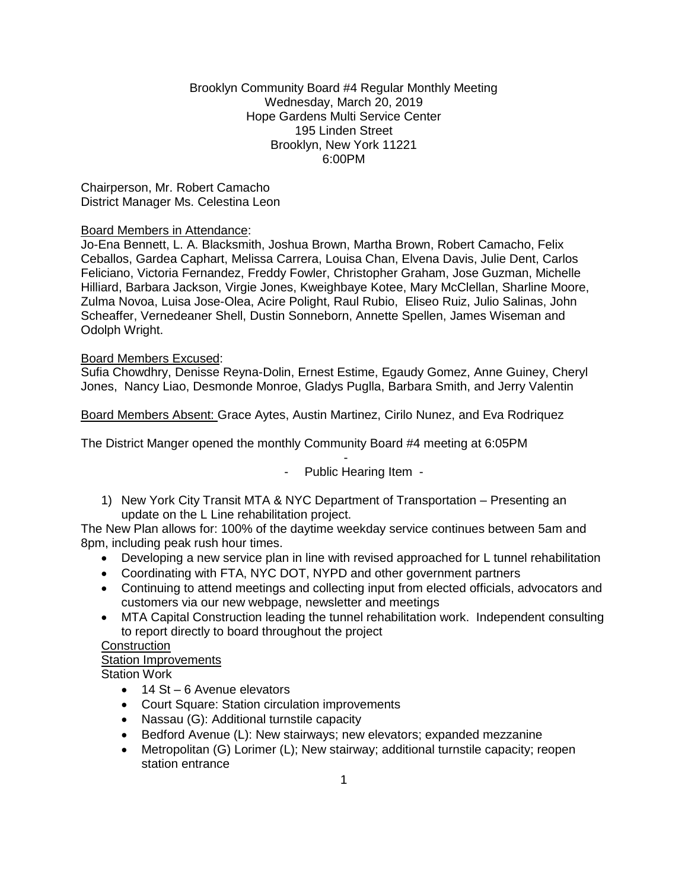### Brooklyn Community Board #4 Regular Monthly Meeting Wednesday, March 20, 2019 Hope Gardens Multi Service Center 195 Linden Street Brooklyn, New York 11221 6:00PM

Chairperson, Mr. Robert Camacho District Manager Ms. Celestina Leon

### Board Members in Attendance:

Jo-Ena Bennett, L. A. Blacksmith, Joshua Brown, Martha Brown, Robert Camacho, Felix Ceballos, Gardea Caphart, Melissa Carrera, Louisa Chan, Elvena Davis, Julie Dent, Carlos Feliciano, Victoria Fernandez, Freddy Fowler, Christopher Graham, Jose Guzman, Michelle Hilliard, Barbara Jackson, Virgie Jones, Kweighbaye Kotee, Mary McClellan, Sharline Moore, Zulma Novoa, Luisa Jose-Olea, Acire Polight, Raul Rubio, Eliseo Ruiz, Julio Salinas, John Scheaffer, Vernedeaner Shell, Dustin Sonneborn, Annette Spellen, James Wiseman and Odolph Wright.

### Board Members Excused:

Sufia Chowdhry, Denisse Reyna-Dolin, Ernest Estime, Egaudy Gomez, Anne Guiney, Cheryl Jones, Nancy Liao, Desmonde Monroe, Gladys Puglla, Barbara Smith, and Jerry Valentin

Board Members Absent: Grace Aytes, Austin Martinez, Cirilo Nunez, and Eva Rodriquez

The District Manger opened the monthly Community Board #4 meeting at 6:05PM

- Public Hearing Item -

-

1) New York City Transit MTA & NYC Department of Transportation – Presenting an update on the L Line rehabilitation project.

The New Plan allows for: 100% of the daytime weekday service continues between 5am and 8pm, including peak rush hour times.

- Developing a new service plan in line with revised approached for L tunnel rehabilitation
- Coordinating with FTA, NYC DOT, NYPD and other government partners
- Continuing to attend meetings and collecting input from elected officials, advocators and customers via our new webpage, newsletter and meetings
- MTA Capital Construction leading the tunnel rehabilitation work. Independent consulting to report directly to board throughout the project

**Construction** 

# Station Improvements

Station Work

- 14 St 6 Avenue elevators
- Court Square: Station circulation improvements
- Nassau (G): Additional turnstile capacity
- Bedford Avenue (L): New stairways; new elevators; expanded mezzanine
- Metropolitan (G) Lorimer (L); New stairway; additional turnstile capacity; reopen station entrance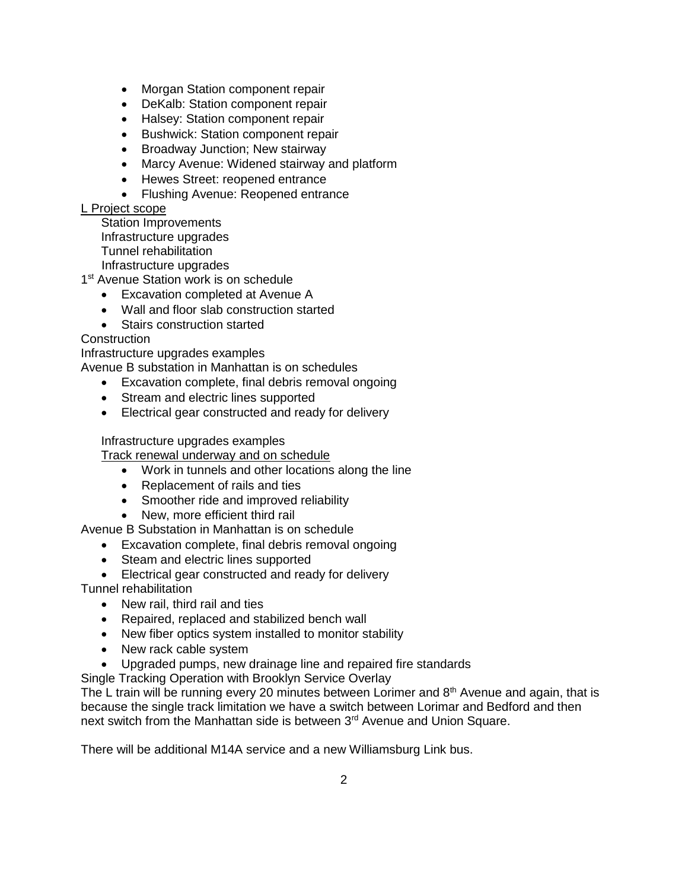- Morgan Station component repair
- DeKalb: Station component repair
- Halsey: Station component repair
- Bushwick: Station component repair
- Broadway Junction; New stairway
- Marcy Avenue: Widened stairway and platform
- Hewes Street: reopened entrance
- Flushing Avenue: Reopened entrance

### L Project scope

Station Improvements Infrastructure upgrades Tunnel rehabilitation

Infrastructure upgrades

1<sup>st</sup> Avenue Station work is on schedule

- Excavation completed at Avenue A
- Wall and floor slab construction started
- Stairs construction started

# **Construction**

Infrastructure upgrades examples

Avenue B substation in Manhattan is on schedules

- Excavation complete, final debris removal ongoing
- Stream and electric lines supported
- Electrical gear constructed and ready for delivery

# Infrastructure upgrades examples

Track renewal underway and on schedule

- Work in tunnels and other locations along the line
- Replacement of rails and ties
- Smoother ride and improved reliability
- New, more efficient third rail

Avenue B Substation in Manhattan is on schedule

- Excavation complete, final debris removal ongoing
- Steam and electric lines supported
- Electrical gear constructed and ready for delivery
- Tunnel rehabilitation
	- New rail, third rail and ties
	- Repaired, replaced and stabilized bench wall
	- New fiber optics system installed to monitor stability
	- New rack cable system
	- Upgraded pumps, new drainage line and repaired fire standards
- Single Tracking Operation with Brooklyn Service Overlay

The L train will be running every 20 minutes between Lorimer and  $8<sup>th</sup>$  Avenue and again, that is because the single track limitation we have a switch between Lorimar and Bedford and then next switch from the Manhattan side is between 3<sup>rd</sup> Avenue and Union Square.

There will be additional M14A service and a new Williamsburg Link bus.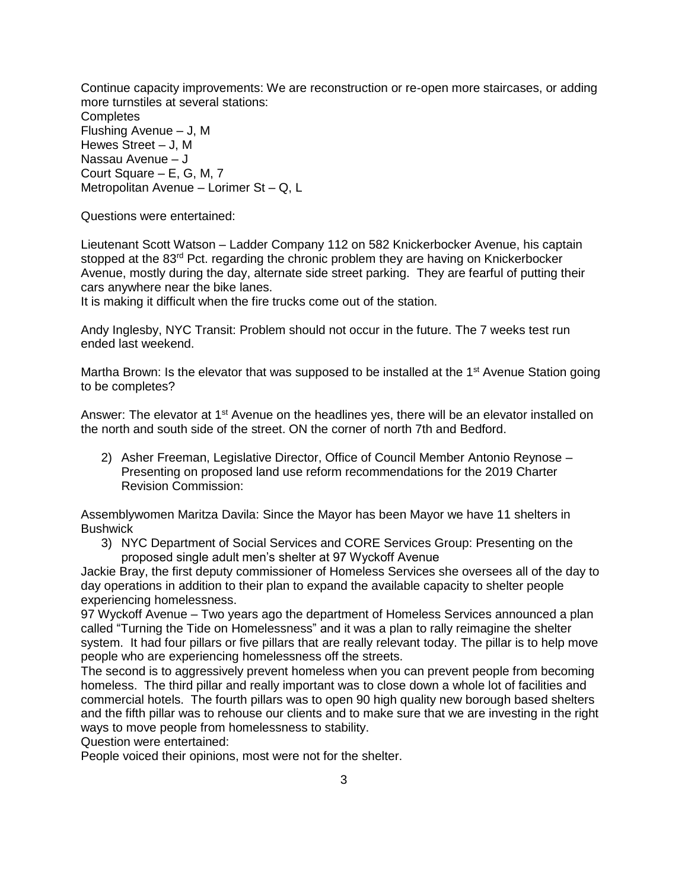Continue capacity improvements: We are reconstruction or re-open more staircases, or adding more turnstiles at several stations: **Completes** Flushing Avenue – J, M Hewes Street – J, M Nassau Avenue – J Court Square – E, G, M, 7 Metropolitan Avenue – Lorimer St – Q, L

Questions were entertained:

Lieutenant Scott Watson – Ladder Company 112 on 582 Knickerbocker Avenue, his captain stopped at the  $83<sup>rd</sup>$  Pct. regarding the chronic problem they are having on Knickerbocker Avenue, mostly during the day, alternate side street parking. They are fearful of putting their cars anywhere near the bike lanes.

It is making it difficult when the fire trucks come out of the station.

Andy Inglesby, NYC Transit: Problem should not occur in the future. The 7 weeks test run ended last weekend.

Martha Brown: Is the elevator that was supposed to be installed at the  $1<sup>st</sup>$  Avenue Station going to be completes?

Answer: The elevator at 1<sup>st</sup> Avenue on the headlines yes, there will be an elevator installed on the north and south side of the street. ON the corner of north 7th and Bedford.

2) Asher Freeman, Legislative Director, Office of Council Member Antonio Reynose – Presenting on proposed land use reform recommendations for the 2019 Charter Revision Commission:

Assemblywomen Maritza Davila: Since the Mayor has been Mayor we have 11 shelters in Bushwick

3) NYC Department of Social Services and CORE Services Group: Presenting on the proposed single adult men's shelter at 97 Wyckoff Avenue

Jackie Bray, the first deputy commissioner of Homeless Services she oversees all of the day to day operations in addition to their plan to expand the available capacity to shelter people experiencing homelessness.

97 Wyckoff Avenue – Two years ago the department of Homeless Services announced a plan called "Turning the Tide on Homelessness" and it was a plan to rally reimagine the shelter system. It had four pillars or five pillars that are really relevant today. The pillar is to help move people who are experiencing homelessness off the streets.

The second is to aggressively prevent homeless when you can prevent people from becoming homeless. The third pillar and really important was to close down a whole lot of facilities and commercial hotels. The fourth pillars was to open 90 high quality new borough based shelters and the fifth pillar was to rehouse our clients and to make sure that we are investing in the right ways to move people from homelessness to stability.

Question were entertained:

People voiced their opinions, most were not for the shelter.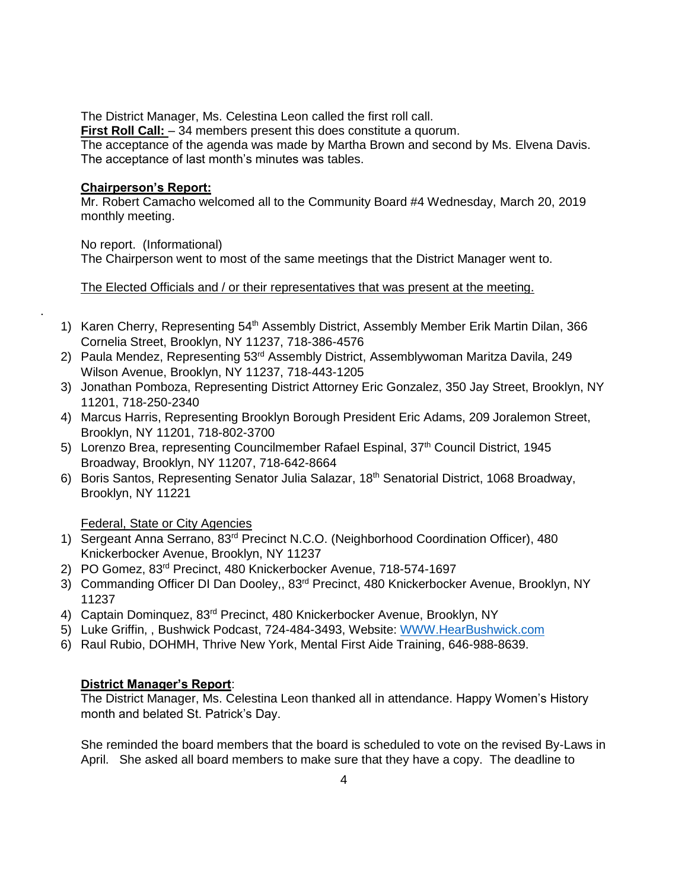The District Manager, Ms. Celestina Leon called the first roll call.

**First Roll Call:**  $-34$  members present this does constitute a quorum.

The acceptance of the agenda was made by Martha Brown and second by Ms. Elvena Davis. The acceptance of last month's minutes was tables.

# **Chairperson's Report:**

.

Mr. Robert Camacho welcomed all to the Community Board #4 Wednesday, March 20, 2019 monthly meeting.

No report. (Informational) The Chairperson went to most of the same meetings that the District Manager went to.

# The Elected Officials and / or their representatives that was present at the meeting.

- 1) Karen Cherry, Representing 54<sup>th</sup> Assembly District, Assembly Member Erik Martin Dilan, 366 Cornelia Street, Brooklyn, NY 11237, 718-386-4576
- 2) Paula Mendez, Representing 53<sup>rd</sup> Assembly District, Assemblywoman Maritza Davila, 249 Wilson Avenue, Brooklyn, NY 11237, 718-443-1205
- 3) Jonathan Pomboza, Representing District Attorney Eric Gonzalez, 350 Jay Street, Brooklyn, NY 11201, 718-250-2340
- 4) Marcus Harris, Representing Brooklyn Borough President Eric Adams, 209 Joralemon Street, Brooklyn, NY 11201, 718-802-3700
- 5) Lorenzo Brea, representing Councilmember Rafael Espinal, 37<sup>th</sup> Council District, 1945 Broadway, Brooklyn, NY 11207, 718-642-8664
- 6) Boris Santos, Representing Senator Julia Salazar, 18th Senatorial District, 1068 Broadway, Brooklyn, NY 11221

Federal, State or City Agencies

- 1) Sergeant Anna Serrano, 83<sup>rd</sup> Precinct N.C.O. (Neighborhood Coordination Officer), 480 Knickerbocker Avenue, Brooklyn, NY 11237
- 2) PO Gomez, 83rd Precinct, 480 Knickerbocker Avenue, 718-574-1697
- 3) Commanding Officer DI Dan Dooley., 83<sup>rd</sup> Precinct, 480 Knickerbocker Avenue, Brooklyn, NY 11237
- 4) Captain Dominquez, 83rd Precinct, 480 Knickerbocker Avenue, Brooklyn, NY
- 5) Luke Griffin, , Bushwick Podcast, 724-484-3493, Website: [WWW.HearBushwick.com](http://www.hearbushwick.com/)
- 6) Raul Rubio, DOHMH, Thrive New York, Mental First Aide Training, 646-988-8639.

# **District Manager's Report**:

The District Manager, Ms. Celestina Leon thanked all in attendance. Happy Women's History month and belated St. Patrick's Day.

She reminded the board members that the board is scheduled to vote on the revised By-Laws in April. She asked all board members to make sure that they have a copy. The deadline to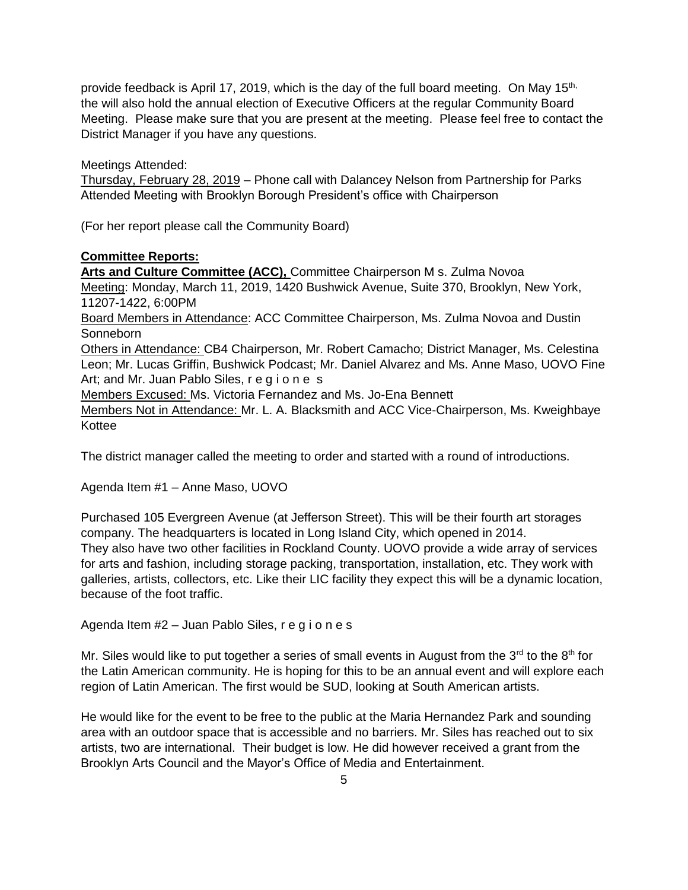provide feedback is April 17, 2019, which is the day of the full board meeting. On May 15<sup>th,</sup> the will also hold the annual election of Executive Officers at the regular Community Board Meeting. Please make sure that you are present at the meeting. Please feel free to contact the District Manager if you have any questions.

Meetings Attended:

Thursday, February 28, 2019 – Phone call with Dalancey Nelson from Partnership for Parks Attended Meeting with Brooklyn Borough President's office with Chairperson

(For her report please call the Community Board)

## **Committee Reports:**

**Arts and Culture Committee (ACC),** Committee Chairperson M s. Zulma Novoa Meeting: Monday, March 11, 2019, 1420 Bushwick Avenue, Suite 370, Brooklyn, New York, 11207-1422, 6:00PM Board Members in Attendance: ACC Committee Chairperson, Ms. Zulma Novoa and Dustin **Sonneborn** Others in Attendance: CB4 Chairperson, Mr. Robert Camacho; District Manager, Ms. Celestina Leon; Mr. Lucas Griffin, Bushwick Podcast; Mr. Daniel Alvarez and Ms. Anne Maso, UOVO Fine Art; and Mr. Juan Pablo Siles, r e g i o n e s Members Excused: Ms. Victoria Fernandez and Ms. Jo-Ena Bennett Members Not in Attendance: Mr. L. A. Blacksmith and ACC Vice-Chairperson, Ms. Kweighbaye Kottee

The district manager called the meeting to order and started with a round of introductions.

Agenda Item #1 – Anne Maso, UOVO

Purchased 105 Evergreen Avenue (at Jefferson Street). This will be their fourth art storages company. The headquarters is located in Long Island City, which opened in 2014. They also have two other facilities in Rockland County. UOVO provide a wide array of services for arts and fashion, including storage packing, transportation, installation, etc. They work with galleries, artists, collectors, etc. Like their LIC facility they expect this will be a dynamic location, because of the foot traffic.

Agenda Item #2 – Juan Pablo Siles, r e g i o n e s

Mr. Siles would like to put together a series of small events in August from the  $3<sup>rd</sup>$  to the  $8<sup>th</sup>$  for the Latin American community. He is hoping for this to be an annual event and will explore each region of Latin American. The first would be SUD, looking at South American artists.

He would like for the event to be free to the public at the Maria Hernandez Park and sounding area with an outdoor space that is accessible and no barriers. Mr. Siles has reached out to six artists, two are international. Their budget is low. He did however received a grant from the Brooklyn Arts Council and the Mayor's Office of Media and Entertainment.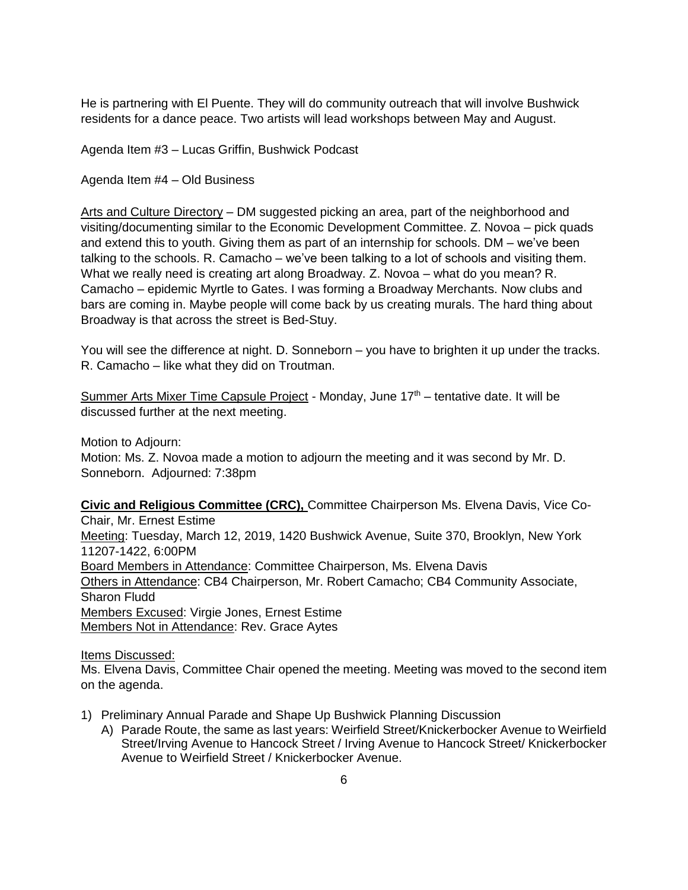He is partnering with El Puente. They will do community outreach that will involve Bushwick residents for a dance peace. Two artists will lead workshops between May and August.

Agenda Item #3 – Lucas Griffin, Bushwick Podcast

Agenda Item #4 – Old Business

Arts and Culture Directory – DM suggested picking an area, part of the neighborhood and visiting/documenting similar to the Economic Development Committee. Z. Novoa – pick quads and extend this to youth. Giving them as part of an internship for schools. DM – we've been talking to the schools. R. Camacho – we've been talking to a lot of schools and visiting them. What we really need is creating art along Broadway. Z. Novoa – what do you mean? R. Camacho – epidemic Myrtle to Gates. I was forming a Broadway Merchants. Now clubs and bars are coming in. Maybe people will come back by us creating murals. The hard thing about Broadway is that across the street is Bed-Stuy.

You will see the difference at night. D. Sonneborn – you have to brighten it up under the tracks. R. Camacho – like what they did on Troutman.

Summer Arts Mixer Time Capsule Project - Monday, June 17<sup>th</sup> – tentative date. It will be discussed further at the next meeting.

Motion to Adjourn: Motion: Ms. Z. Novoa made a motion to adjourn the meeting and it was second by Mr. D. Sonneborn. Adjourned: 7:38pm

**Civic and Religious Committee (CRC),** Committee Chairperson Ms. Elvena Davis, Vice Co-Chair, Mr. Ernest Estime

Meeting: Tuesday, March 12, 2019, 1420 Bushwick Avenue, Suite 370, Brooklyn, New York 11207-1422, 6:00PM Board Members in Attendance: Committee Chairperson, Ms. Elvena Davis

Others in Attendance: CB4 Chairperson, Mr. Robert Camacho; CB4 Community Associate, Sharon Fludd Members Excused: Virgie Jones, Ernest Estime

Members Not in Attendance: Rev. Grace Aytes

Items Discussed:

Ms. Elvena Davis, Committee Chair opened the meeting. Meeting was moved to the second item on the agenda.

- 1) Preliminary Annual Parade and Shape Up Bushwick Planning Discussion
	- A) Parade Route, the same as last years: Weirfield Street/Knickerbocker Avenue to Weirfield Street/Irving Avenue to Hancock Street / Irving Avenue to Hancock Street/ Knickerbocker Avenue to Weirfield Street / Knickerbocker Avenue.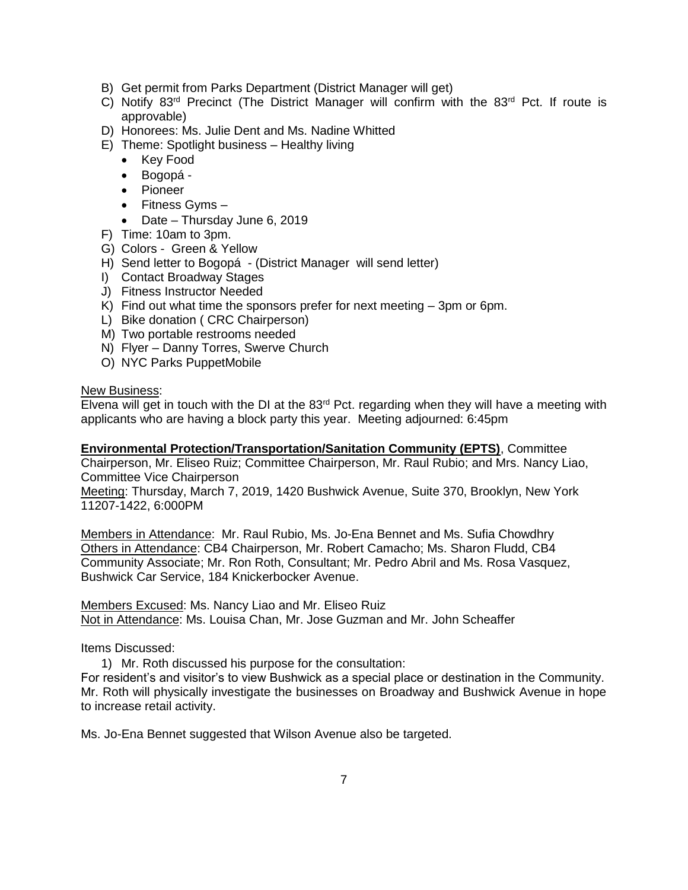- B) Get permit from Parks Department (District Manager will get)
- C) Notify 83<sup>rd</sup> Precinct (The District Manager will confirm with the 83<sup>rd</sup> Pct. If route is approvable)
- D) Honorees: Ms. Julie Dent and Ms. Nadine Whitted
- E) Theme: Spotlight business Healthy living
	- Key Food
	- Bogopá -
	- Pioneer
	- $\bullet$  Fitness Gyms  $-$
	- Date Thursday June 6, 2019
- F) Time: 10am to 3pm.
- G) Colors Green & Yellow
- H) Send letter to Bogopá (District Manager will send letter)
- I) Contact Broadway Stages
- J) Fitness Instructor Needed
- K) Find out what time the sponsors prefer for next meeting 3pm or 6pm.
- L) Bike donation ( CRC Chairperson)
- M) Two portable restrooms needed
- N) Flyer Danny Torres, Swerve Church
- O) NYC Parks PuppetMobile

### New Business:

Elvena will get in touch with the DI at the  $83<sup>rd</sup>$  Pct. regarding when they will have a meeting with applicants who are having a block party this year. Meeting adjourned: 6:45pm

### **Environmental Protection/Transportation/Sanitation Community (EPTS)**, Committee

Chairperson, Mr. Eliseo Ruiz; Committee Chairperson, Mr. Raul Rubio; and Mrs. Nancy Liao, Committee Vice Chairperson

Meeting: Thursday, March 7, 2019, 1420 Bushwick Avenue, Suite 370, Brooklyn, New York 11207-1422, 6:000PM

Members in Attendance: Mr. Raul Rubio, Ms. Jo-Ena Bennet and Ms. Sufia Chowdhry Others in Attendance: CB4 Chairperson, Mr. Robert Camacho; Ms. Sharon Fludd, CB4 Community Associate; Mr. Ron Roth, Consultant; Mr. Pedro Abril and Ms. Rosa Vasquez, Bushwick Car Service, 184 Knickerbocker Avenue.

Members Excused: Ms. Nancy Liao and Mr. Eliseo Ruiz Not in Attendance: Ms. Louisa Chan, Mr. Jose Guzman and Mr. John Scheaffer

### Items Discussed:

1) Mr. Roth discussed his purpose for the consultation:

For resident's and visitor's to view Bushwick as a special place or destination in the Community. Mr. Roth will physically investigate the businesses on Broadway and Bushwick Avenue in hope to increase retail activity.

Ms. Jo-Ena Bennet suggested that Wilson Avenue also be targeted.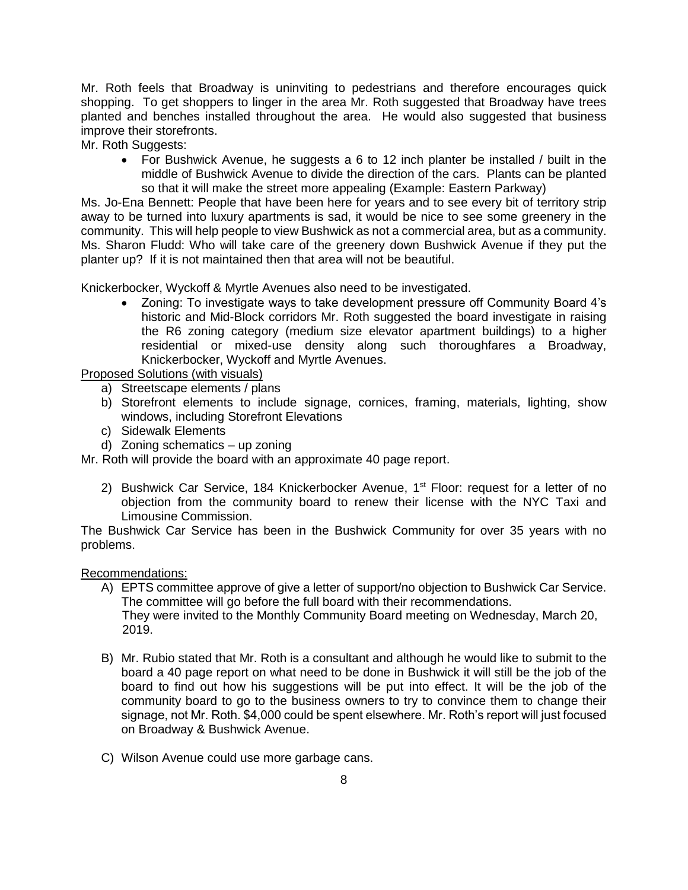Mr. Roth feels that Broadway is uninviting to pedestrians and therefore encourages quick shopping. To get shoppers to linger in the area Mr. Roth suggested that Broadway have trees planted and benches installed throughout the area. He would also suggested that business improve their storefronts.

Mr. Roth Suggests:

 For Bushwick Avenue, he suggests a 6 to 12 inch planter be installed / built in the middle of Bushwick Avenue to divide the direction of the cars. Plants can be planted so that it will make the street more appealing (Example: Eastern Parkway)

Ms. Jo-Ena Bennett: People that have been here for years and to see every bit of territory strip away to be turned into luxury apartments is sad, it would be nice to see some greenery in the community. This will help people to view Bushwick as not a commercial area, but as a community. Ms. Sharon Fludd: Who will take care of the greenery down Bushwick Avenue if they put the planter up? If it is not maintained then that area will not be beautiful.

Knickerbocker, Wyckoff & Myrtle Avenues also need to be investigated.

 Zoning: To investigate ways to take development pressure off Community Board 4's historic and Mid-Block corridors Mr. Roth suggested the board investigate in raising the R6 zoning category (medium size elevator apartment buildings) to a higher residential or mixed-use density along such thoroughfares a Broadway, Knickerbocker, Wyckoff and Myrtle Avenues.

Proposed Solutions (with visuals)

- a) Streetscape elements / plans
- b) Storefront elements to include signage, cornices, framing, materials, lighting, show windows, including Storefront Elevations
- c) Sidewalk Elements
- d) Zoning schematics up zoning

Mr. Roth will provide the board with an approximate 40 page report.

2) Bushwick Car Service, 184 Knickerbocker Avenue, 1<sup>st</sup> Floor: request for a letter of no objection from the community board to renew their license with the NYC Taxi and Limousine Commission.

The Bushwick Car Service has been in the Bushwick Community for over 35 years with no problems.

Recommendations:

- A) EPTS committee approve of give a letter of support/no objection to Bushwick Car Service. The committee will go before the full board with their recommendations. They were invited to the Monthly Community Board meeting on Wednesday, March 20, 2019.
- B) Mr. Rubio stated that Mr. Roth is a consultant and although he would like to submit to the board a 40 page report on what need to be done in Bushwick it will still be the job of the board to find out how his suggestions will be put into effect. It will be the job of the community board to go to the business owners to try to convince them to change their signage, not Mr. Roth. \$4,000 could be spent elsewhere. Mr. Roth's report will just focused on Broadway & Bushwick Avenue.
- C) Wilson Avenue could use more garbage cans.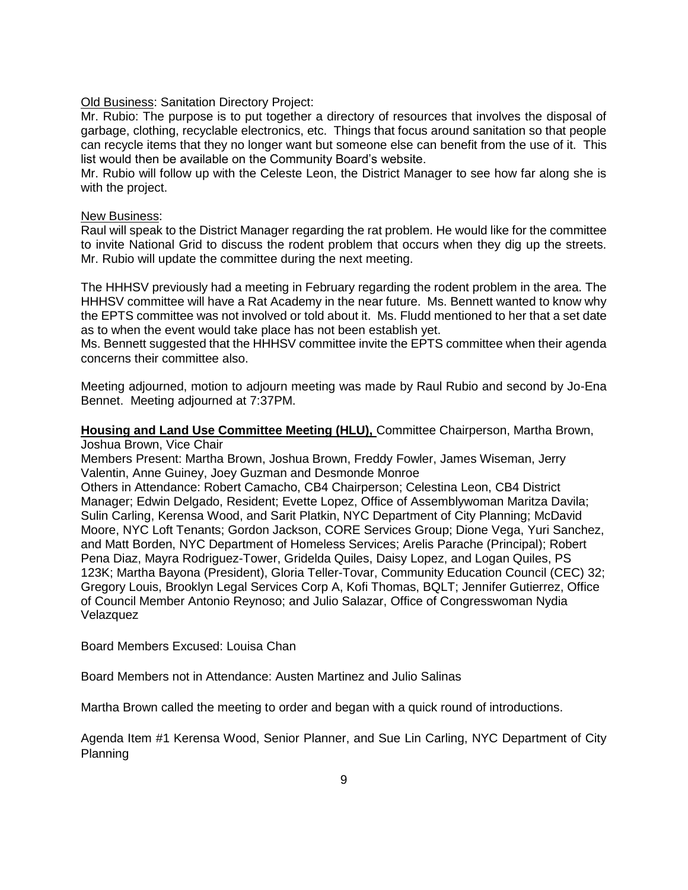Old Business: Sanitation Directory Project:

Mr. Rubio: The purpose is to put together a directory of resources that involves the disposal of garbage, clothing, recyclable electronics, etc. Things that focus around sanitation so that people can recycle items that they no longer want but someone else can benefit from the use of it. This list would then be available on the Community Board's website.

Mr. Rubio will follow up with the Celeste Leon, the District Manager to see how far along she is with the project.

#### New Business:

Raul will speak to the District Manager regarding the rat problem. He would like for the committee to invite National Grid to discuss the rodent problem that occurs when they dig up the streets. Mr. Rubio will update the committee during the next meeting.

The HHHSV previously had a meeting in February regarding the rodent problem in the area. The HHHSV committee will have a Rat Academy in the near future. Ms. Bennett wanted to know why the EPTS committee was not involved or told about it. Ms. Fludd mentioned to her that a set date as to when the event would take place has not been establish yet.

Ms. Bennett suggested that the HHHSV committee invite the EPTS committee when their agenda concerns their committee also.

Meeting adjourned, motion to adjourn meeting was made by Raul Rubio and second by Jo-Ena Bennet. Meeting adjourned at 7:37PM.

**Housing and Land Use Committee Meeting (HLU),** Committee Chairperson, Martha Brown, Joshua Brown, Vice Chair

Members Present: Martha Brown, Joshua Brown, Freddy Fowler, James Wiseman, Jerry Valentin, Anne Guiney, Joey Guzman and Desmonde Monroe

Others in Attendance: Robert Camacho, CB4 Chairperson; Celestina Leon, CB4 District Manager; Edwin Delgado, Resident; Evette Lopez, Office of Assemblywoman Maritza Davila; Sulin Carling, Kerensa Wood, and Sarit Platkin, NYC Department of City Planning; McDavid Moore, NYC Loft Tenants; Gordon Jackson, CORE Services Group; Dione Vega, Yuri Sanchez, and Matt Borden, NYC Department of Homeless Services; Arelis Parache (Principal); Robert Pena Diaz, Mayra Rodriguez-Tower, Gridelda Quiles, Daisy Lopez, and Logan Quiles, PS 123K; Martha Bayona (President), Gloria Teller-Tovar, Community Education Council (CEC) 32; Gregory Louis, Brooklyn Legal Services Corp A, Kofi Thomas, BQLT; Jennifer Gutierrez, Office of Council Member Antonio Reynoso; and Julio Salazar, Office of Congresswoman Nydia Velazquez

Board Members Excused: Louisa Chan

Board Members not in Attendance: Austen Martinez and Julio Salinas

Martha Brown called the meeting to order and began with a quick round of introductions.

Agenda Item #1 Kerensa Wood, Senior Planner, and Sue Lin Carling, NYC Department of City Planning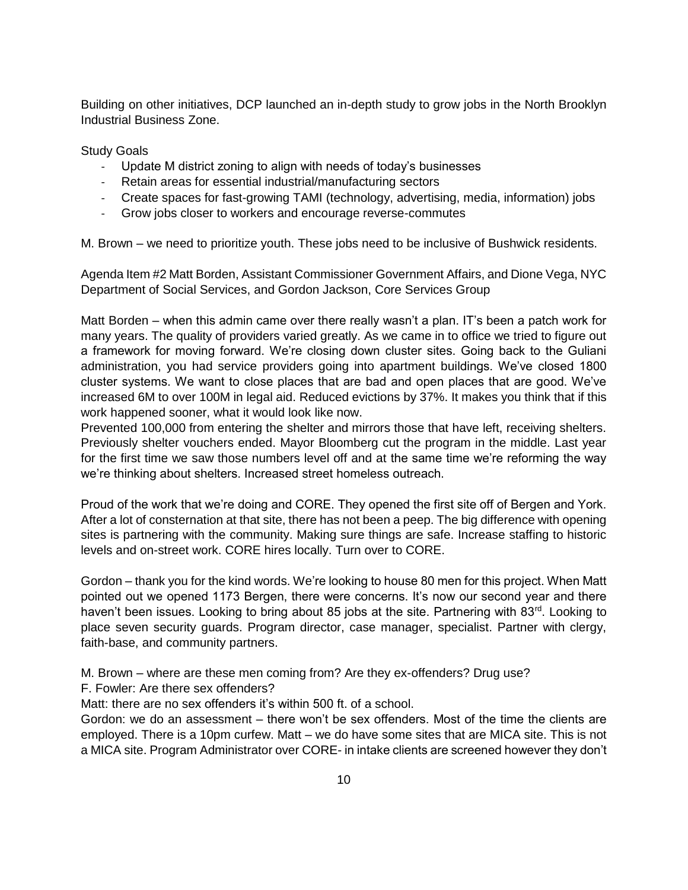Building on other initiatives, DCP launched an in-depth study to grow jobs in the North Brooklyn Industrial Business Zone.

Study Goals

- Update M district zoning to align with needs of today's businesses
- Retain areas for essential industrial/manufacturing sectors
- Create spaces for fast-growing TAMI (technology, advertising, media, information) jobs
- Grow jobs closer to workers and encourage reverse-commutes

M. Brown – we need to prioritize youth. These jobs need to be inclusive of Bushwick residents.

Agenda Item #2 Matt Borden, Assistant Commissioner Government Affairs, and Dione Vega, NYC Department of Social Services, and Gordon Jackson, Core Services Group

Matt Borden – when this admin came over there really wasn't a plan. IT's been a patch work for many years. The quality of providers varied greatly. As we came in to office we tried to figure out a framework for moving forward. We're closing down cluster sites. Going back to the Guliani administration, you had service providers going into apartment buildings. We've closed 1800 cluster systems. We want to close places that are bad and open places that are good. We've increased 6M to over 100M in legal aid. Reduced evictions by 37%. It makes you think that if this work happened sooner, what it would look like now.

Prevented 100,000 from entering the shelter and mirrors those that have left, receiving shelters. Previously shelter vouchers ended. Mayor Bloomberg cut the program in the middle. Last year for the first time we saw those numbers level off and at the same time we're reforming the way we're thinking about shelters. Increased street homeless outreach.

Proud of the work that we're doing and CORE. They opened the first site off of Bergen and York. After a lot of consternation at that site, there has not been a peep. The big difference with opening sites is partnering with the community. Making sure things are safe. Increase staffing to historic levels and on-street work. CORE hires locally. Turn over to CORE.

Gordon – thank you for the kind words. We're looking to house 80 men for this project. When Matt pointed out we opened 1173 Bergen, there were concerns. It's now our second year and there haven't been issues. Looking to bring about 85 jobs at the site. Partnering with 83<sup>rd</sup>. Looking to place seven security guards. Program director, case manager, specialist. Partner with clergy, faith-base, and community partners.

M. Brown – where are these men coming from? Are they ex-offenders? Drug use?

F. Fowler: Are there sex offenders?

Matt: there are no sex offenders it's within 500 ft. of a school.

Gordon: we do an assessment – there won't be sex offenders. Most of the time the clients are employed. There is a 10pm curfew. Matt – we do have some sites that are MICA site. This is not a MICA site. Program Administrator over CORE- in intake clients are screened however they don't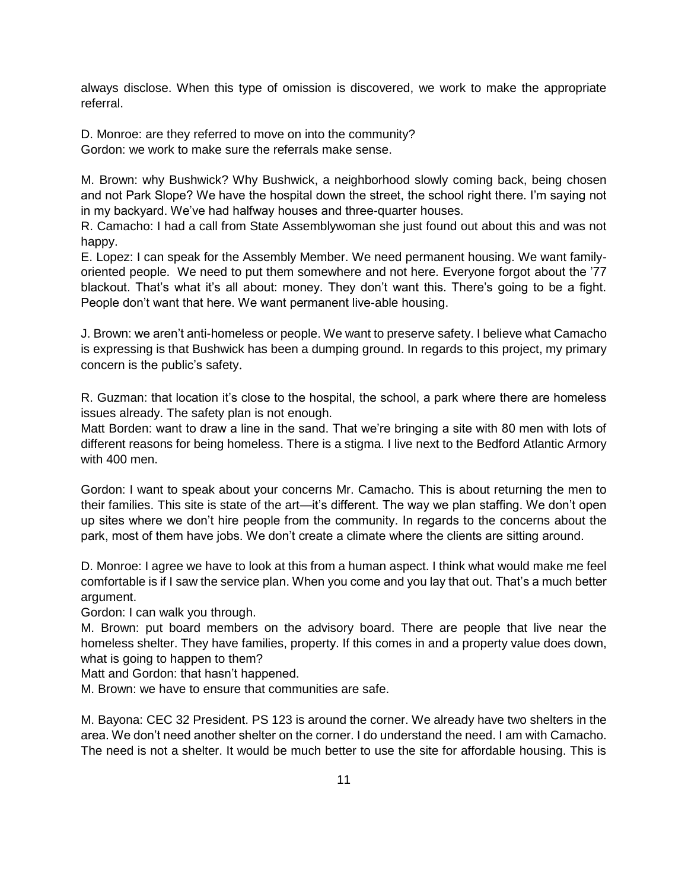always disclose. When this type of omission is discovered, we work to make the appropriate referral.

D. Monroe: are they referred to move on into the community? Gordon: we work to make sure the referrals make sense.

M. Brown: why Bushwick? Why Bushwick, a neighborhood slowly coming back, being chosen and not Park Slope? We have the hospital down the street, the school right there. I'm saying not in my backyard. We've had halfway houses and three-quarter houses.

R. Camacho: I had a call from State Assemblywoman she just found out about this and was not happy.

E. Lopez: I can speak for the Assembly Member. We need permanent housing. We want familyoriented people. We need to put them somewhere and not here. Everyone forgot about the '77 blackout. That's what it's all about: money. They don't want this. There's going to be a fight. People don't want that here. We want permanent live-able housing.

J. Brown: we aren't anti-homeless or people. We want to preserve safety. I believe what Camacho is expressing is that Bushwick has been a dumping ground. In regards to this project, my primary concern is the public's safety.

R. Guzman: that location it's close to the hospital, the school, a park where there are homeless issues already. The safety plan is not enough.

Matt Borden: want to draw a line in the sand. That we're bringing a site with 80 men with lots of different reasons for being homeless. There is a stigma. I live next to the Bedford Atlantic Armory with 400 men.

Gordon: I want to speak about your concerns Mr. Camacho. This is about returning the men to their families. This site is state of the art—it's different. The way we plan staffing. We don't open up sites where we don't hire people from the community. In regards to the concerns about the park, most of them have jobs. We don't create a climate where the clients are sitting around.

D. Monroe: I agree we have to look at this from a human aspect. I think what would make me feel comfortable is if I saw the service plan. When you come and you lay that out. That's a much better argument.

Gordon: I can walk you through.

M. Brown: put board members on the advisory board. There are people that live near the homeless shelter. They have families, property. If this comes in and a property value does down, what is going to happen to them?

Matt and Gordon: that hasn't happened.

M. Brown: we have to ensure that communities are safe.

M. Bayona: CEC 32 President. PS 123 is around the corner. We already have two shelters in the area. We don't need another shelter on the corner. I do understand the need. I am with Camacho. The need is not a shelter. It would be much better to use the site for affordable housing. This is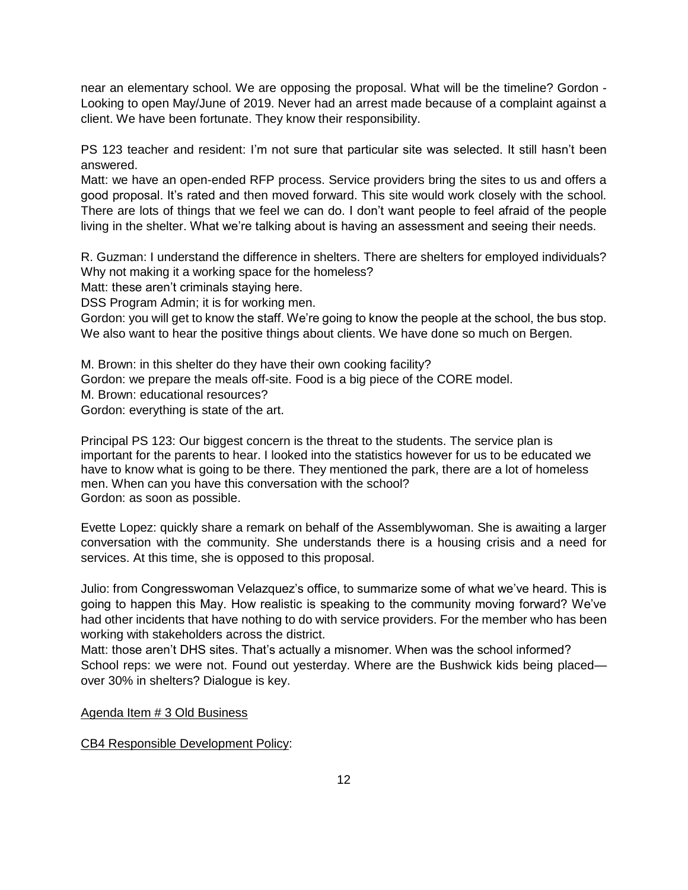near an elementary school. We are opposing the proposal. What will be the timeline? Gordon - Looking to open May/June of 2019. Never had an arrest made because of a complaint against a client. We have been fortunate. They know their responsibility.

PS 123 teacher and resident: I'm not sure that particular site was selected. It still hasn't been answered.

Matt: we have an open-ended RFP process. Service providers bring the sites to us and offers a good proposal. It's rated and then moved forward. This site would work closely with the school. There are lots of things that we feel we can do. I don't want people to feel afraid of the people living in the shelter. What we're talking about is having an assessment and seeing their needs.

R. Guzman: I understand the difference in shelters. There are shelters for employed individuals? Why not making it a working space for the homeless?

Matt: these aren't criminals staying here.

DSS Program Admin; it is for working men.

Gordon: you will get to know the staff. We're going to know the people at the school, the bus stop. We also want to hear the positive things about clients. We have done so much on Bergen.

M. Brown: in this shelter do they have their own cooking facility? Gordon: we prepare the meals off-site. Food is a big piece of the CORE model. M. Brown: educational resources? Gordon: everything is state of the art.

Principal PS 123: Our biggest concern is the threat to the students. The service plan is important for the parents to hear. I looked into the statistics however for us to be educated we have to know what is going to be there. They mentioned the park, there are a lot of homeless men. When can you have this conversation with the school? Gordon: as soon as possible.

Evette Lopez: quickly share a remark on behalf of the Assemblywoman. She is awaiting a larger conversation with the community. She understands there is a housing crisis and a need for services. At this time, she is opposed to this proposal.

Julio: from Congresswoman Velazquez's office, to summarize some of what we've heard. This is going to happen this May. How realistic is speaking to the community moving forward? We've had other incidents that have nothing to do with service providers. For the member who has been working with stakeholders across the district.

Matt: those aren't DHS sites. That's actually a misnomer. When was the school informed? School reps: we were not. Found out yesterday. Where are the Bushwick kids being placed over 30% in shelters? Dialogue is key.

### Agenda Item # 3 Old Business

### CB4 Responsible Development Policy: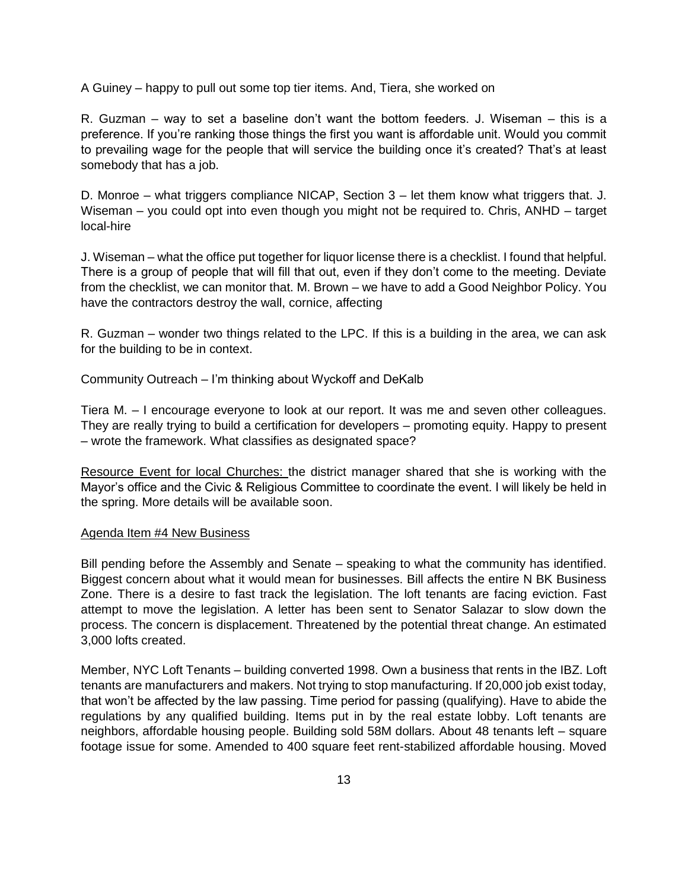A Guiney – happy to pull out some top tier items. And, Tiera, she worked on

R. Guzman – way to set a baseline don't want the bottom feeders. J. Wiseman – this is a preference. If you're ranking those things the first you want is affordable unit. Would you commit to prevailing wage for the people that will service the building once it's created? That's at least somebody that has a job.

D. Monroe – what triggers compliance NICAP, Section 3 – let them know what triggers that. J. Wiseman – you could opt into even though you might not be required to. Chris, ANHD – target local-hire

J. Wiseman – what the office put together for liquor license there is a checklist. I found that helpful. There is a group of people that will fill that out, even if they don't come to the meeting. Deviate from the checklist, we can monitor that. M. Brown – we have to add a Good Neighbor Policy. You have the contractors destroy the wall, cornice, affecting

R. Guzman – wonder two things related to the LPC. If this is a building in the area, we can ask for the building to be in context.

Community Outreach – I'm thinking about Wyckoff and DeKalb

Tiera M. – I encourage everyone to look at our report. It was me and seven other colleagues. They are really trying to build a certification for developers – promoting equity. Happy to present – wrote the framework. What classifies as designated space?

Resource Event for local Churches: the district manager shared that she is working with the Mayor's office and the Civic & Religious Committee to coordinate the event. I will likely be held in the spring. More details will be available soon.

#### Agenda Item #4 New Business

Bill pending before the Assembly and Senate – speaking to what the community has identified. Biggest concern about what it would mean for businesses. Bill affects the entire N BK Business Zone. There is a desire to fast track the legislation. The loft tenants are facing eviction. Fast attempt to move the legislation. A letter has been sent to Senator Salazar to slow down the process. The concern is displacement. Threatened by the potential threat change. An estimated 3,000 lofts created.

Member, NYC Loft Tenants – building converted 1998. Own a business that rents in the IBZ. Loft tenants are manufacturers and makers. Not trying to stop manufacturing. If 20,000 job exist today, that won't be affected by the law passing. Time period for passing (qualifying). Have to abide the regulations by any qualified building. Items put in by the real estate lobby. Loft tenants are neighbors, affordable housing people. Building sold 58M dollars. About 48 tenants left – square footage issue for some. Amended to 400 square feet rent-stabilized affordable housing. Moved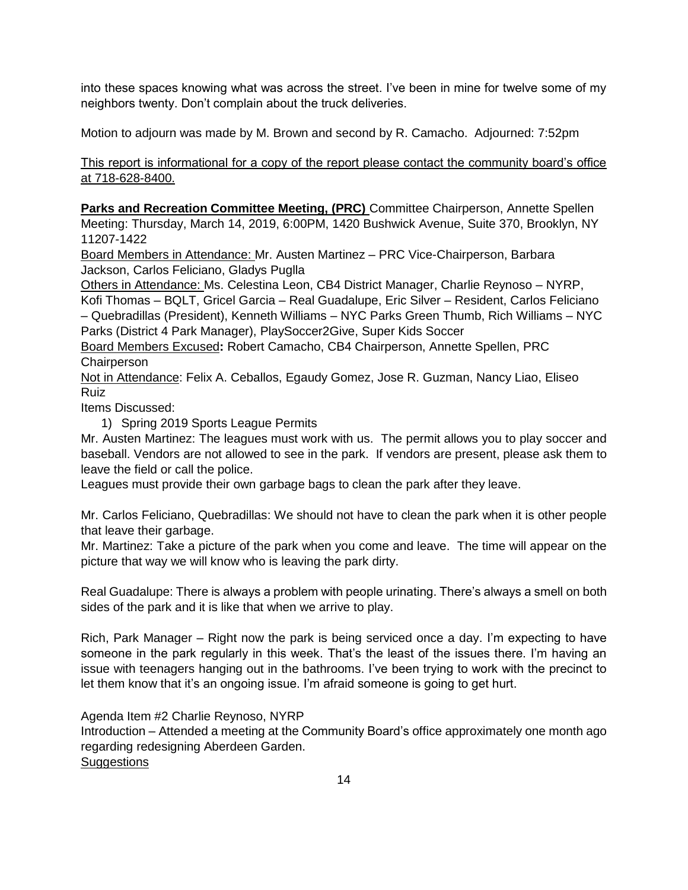into these spaces knowing what was across the street. I've been in mine for twelve some of my neighbors twenty. Don't complain about the truck deliveries.

Motion to adjourn was made by M. Brown and second by R. Camacho. Adjourned: 7:52pm

This report is informational for a copy of the report please contact the community board's office at 718-628-8400.

**Parks and Recreation Committee Meeting, (PRC)** Committee Chairperson, Annette Spellen Meeting: Thursday, March 14, 2019, 6:00PM, 1420 Bushwick Avenue, Suite 370, Brooklyn, NY 11207-1422

Board Members in Attendance: Mr. Austen Martinez – PRC Vice-Chairperson, Barbara Jackson, Carlos Feliciano, Gladys Puglla

Others in Attendance: Ms. Celestina Leon, CB4 District Manager, Charlie Reynoso – NYRP, Kofi Thomas – BQLT, Gricel Garcia – Real Guadalupe, Eric Silver – Resident, Carlos Feliciano – Quebradillas (President), Kenneth Williams – NYC Parks Green Thumb, Rich Williams – NYC Parks (District 4 Park Manager), PlaySoccer2Give, Super Kids Soccer

Board Members Excused**:** Robert Camacho, CB4 Chairperson, Annette Spellen, PRC **Chairperson** 

Not in Attendance: Felix A. Ceballos, Egaudy Gomez, Jose R. Guzman, Nancy Liao, Eliseo Ruiz

Items Discussed:

1) Spring 2019 Sports League Permits

Mr. Austen Martinez: The leagues must work with us. The permit allows you to play soccer and baseball. Vendors are not allowed to see in the park. If vendors are present, please ask them to leave the field or call the police.

Leagues must provide their own garbage bags to clean the park after they leave.

Mr. Carlos Feliciano, Quebradillas: We should not have to clean the park when it is other people that leave their garbage.

Mr. Martinez: Take a picture of the park when you come and leave. The time will appear on the picture that way we will know who is leaving the park dirty.

Real Guadalupe: There is always a problem with people urinating. There's always a smell on both sides of the park and it is like that when we arrive to play.

Rich, Park Manager – Right now the park is being serviced once a day. I'm expecting to have someone in the park regularly in this week. That's the least of the issues there. I'm having an issue with teenagers hanging out in the bathrooms. I've been trying to work with the precinct to let them know that it's an ongoing issue. I'm afraid someone is going to get hurt.

Agenda Item #2 Charlie Reynoso, NYRP

Introduction – Attended a meeting at the Community Board's office approximately one month ago regarding redesigning Aberdeen Garden. **Suggestions** 

14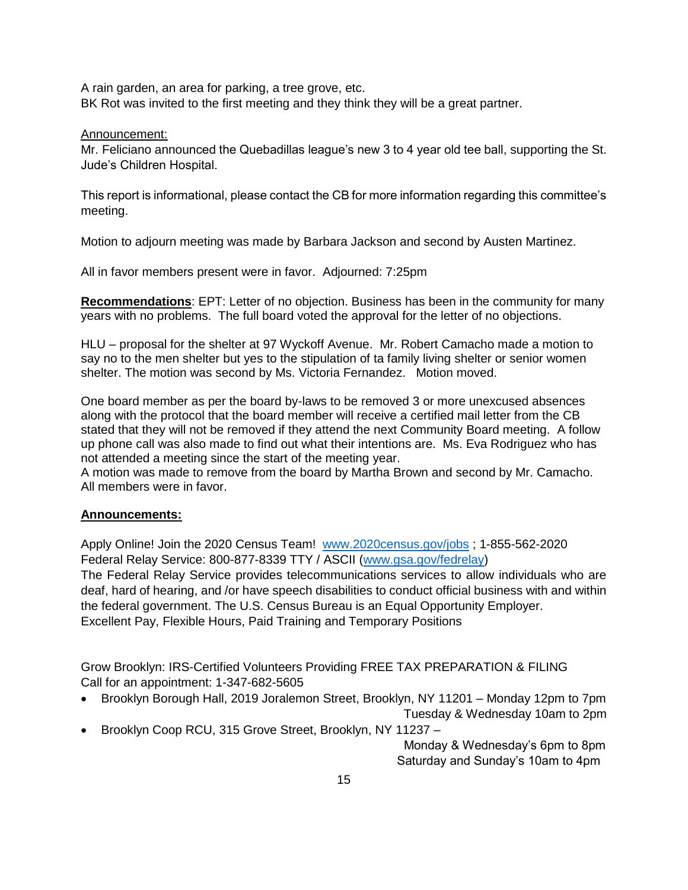A rain garden, an area for parking, a tree grove, etc. BK Rot was invited to the first meeting and they think they will be a great partner.

### Announcement:

Mr. Feliciano announced the Quebadillas league's new 3 to 4 year old tee ball, supporting the St. Jude's Children Hospital.

This report is informational, please contact the CB for more information regarding this committee's meeting.

Motion to adjourn meeting was made by Barbara Jackson and second by Austen Martinez.

All in favor members present were in favor. Adjourned: 7:25pm

**Recommendations**: EPT: Letter of no objection. Business has been in the community for many years with no problems. The full board voted the approval for the letter of no objections.

HLU – proposal for the shelter at 97 Wyckoff Avenue. Mr. Robert Camacho made a motion to say no to the men shelter but yes to the stipulation of ta family living shelter or senior women shelter. The motion was second by Ms. Victoria Fernandez. Motion moved.

One board member as per the board by-laws to be removed 3 or more unexcused absences along with the protocol that the board member will receive a certified mail letter from the CB stated that they will not be removed if they attend the next Community Board meeting. A follow up phone call was also made to find out what their intentions are. Ms. Eva Rodriguez who has not attended a meeting since the start of the meeting year.

A motion was made to remove from the board by Martha Brown and second by Mr. Camacho. All members were in favor.

# **Announcements:**

Apply Online! Join the 2020 Census Team! [www.2020census.gov/jobs](http://www.2020census.gov/jobs) ; 1-855-562-2020 Federal Relay Service: 800-877-8339 TTY / ASCII [\(www.gsa.gov/fedrelay\)](http://www.gsa.gov/fedrelay)

The Federal Relay Service provides telecommunications services to allow individuals who are deaf, hard of hearing, and /or have speech disabilities to conduct official business with and within the federal government. The U.S. Census Bureau is an Equal Opportunity Employer. Excellent Pay, Flexible Hours, Paid Training and Temporary Positions

Grow Brooklyn: IRS-Certified Volunteers Providing FREE TAX PREPARATION & FILING Call for an appointment: 1-347-682-5605

Brooklyn Borough Hall, 2019 Joralemon Street, Brooklyn, NY 11201 – Monday 12pm to 7pm

Tuesday & Wednesday 10am to 2pm

Brooklyn Coop RCU, 315 Grove Street, Brooklyn, NY 11237 –

 Monday & Wednesday's 6pm to 8pm Saturday and Sunday's 10am to 4pm